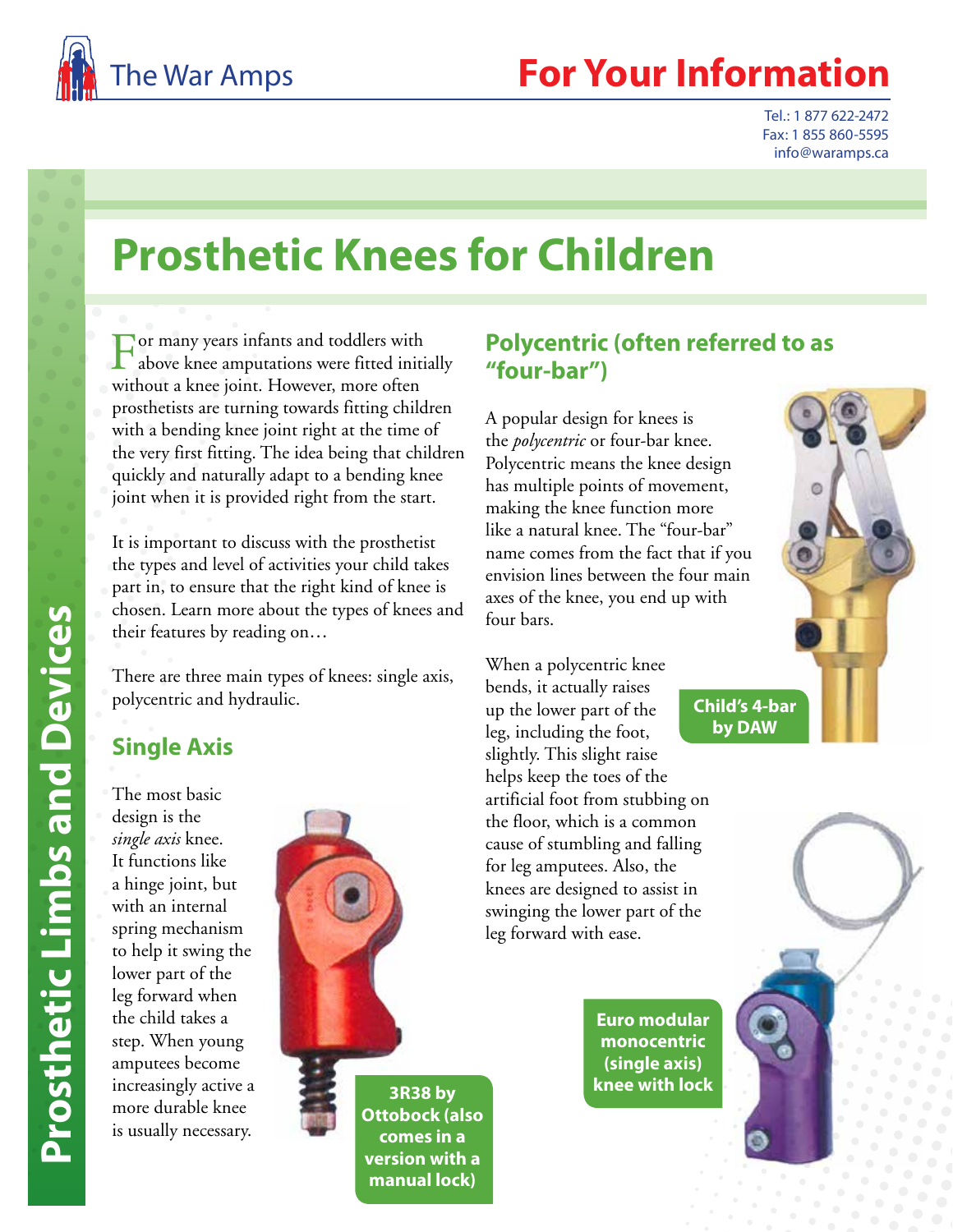

## **For Your Information**

Tel.: 1 877 622-2472 Fax: 1 855 860-5595 info@waramps.ca

# **Prosthetic Knees for Children**

For many years infants and toddlers with above knee amputations were fitted initially without a knee joint. However, more often prosthetists are turning towards fitting children with a bending knee joint right at the time of the very first fitting. The idea being that children quickly and naturally adapt to a bending knee joint when it is provided right from the start.

It is important to discuss with the prosthetist the types and level of activities your child takes part in, to ensure that the right kind of knee is chosen. Learn more about the types of knees and their features by reading on …

There are three main types of knees: single axis, polycentric and hydraulic.

#### **Single Axis**

The most basic design is the *single axis* knee. It functions like a hinge joint, but with an internal spring mechanism to help it swing the lower part of the leg forward when the child takes a step. When young amputees become increasingly active a more durable knee is usually necessary.



**Ottobock (also comes in a version with a manual lock)**

#### **Polycentric (often referred to as "four-bar")**

A popular design for knees is the *polycentric* or four-bar knee. Polycentric means the knee design has multiple points of movement, making the knee function more like a natural knee. The "four-bar" name comes from the fact that if you envision lines between the four main axes of the knee, you end up with four bars.

When a polycentric knee bends, it actually raises up the lower part of the leg, including the foot, slightly. This slight raise helps keep the toes of the artificial foot from stubbing on the floor, which is a common cause of stumbling and falling for leg amputees. Also, the knees are designed to assist in swinging the lower part of the leg forward with ease.

> **Euro modular monocentric (single axis) knee with lock**